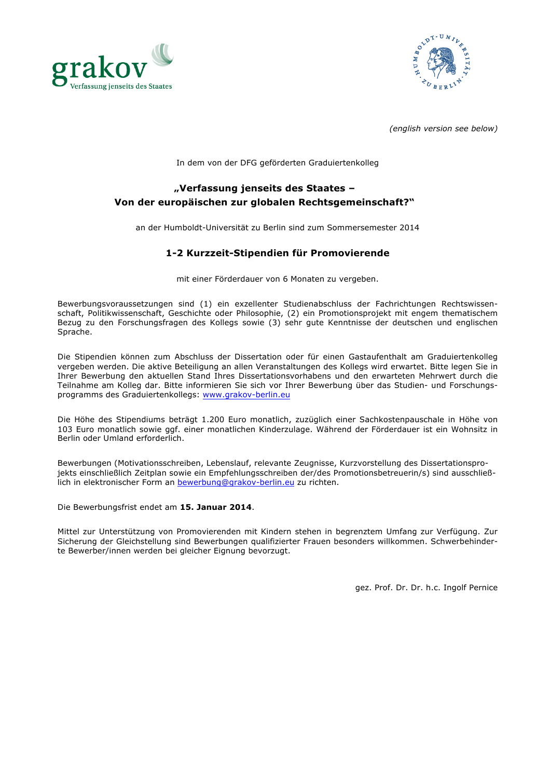



*(english version see below)*

In dem von der DFG geförderten Graduiertenkolleg

## **"Verfassung jenseits des Staates – Von der europäischen zur globalen Rechtsgemeinschaft?"**

an der Humboldt-Universität zu Berlin sind zum Sommersemester 2014

## **1-2 Kurzzeit-Stipendien für Promovierende**

mit einer Förderdauer von 6 Monaten zu vergeben.

Bewerbungsvoraussetzungen sind (1) ein exzellenter Studienabschluss der Fachrichtungen Rechtswissenschaft, Politikwissenschaft, Geschichte oder Philosophie, (2) ein Promotionsprojekt mit engem thematischem Bezug zu den Forschungsfragen des Kollegs sowie (3) sehr gute Kenntnisse der deutschen und englischen Sprache.

Die Stipendien können zum Abschluss der Dissertation oder für einen Gastaufenthalt am Graduiertenkolleg vergeben werden. Die aktive Beteiligung an allen Veranstaltungen des Kollegs wird erwartet. Bitte legen Sie in Ihrer Bewerbung den aktuellen Stand Ihres Dissertationsvorhabens und den erwarteten Mehrwert durch die Teilnahme am Kolleg dar. Bitte informieren Sie sich vor Ihrer Bewerbung über das Studien- und Forschungsprogramms des Graduiertenkollegs: www.grakov-berlin.eu

Die Höhe des Stipendiums beträgt 1.200 Euro monatlich, zuzüglich einer Sachkostenpauschale in Höhe von 103 Euro monatlich sowie ggf. einer monatlichen Kinderzulage. Während der Förderdauer ist ein Wohnsitz in Berlin oder Umland erforderlich.

Bewerbungen (Motivationsschreiben, Lebenslauf, relevante Zeugnisse, Kurzvorstellung des Dissertationsprojekts einschließlich Zeitplan sowie ein Empfehlungsschreiben der/des Promotionsbetreuerin/s) sind ausschließlich in elektronischer Form an bewerbung@grakov-berlin.eu zu richten.

Die Bewerbungsfrist endet am **15. Januar 2014**.

Mittel zur Unterstützung von Promovierenden mit Kindern stehen in begrenztem Umfang zur Verfügung. Zur Sicherung der Gleichstellung sind Bewerbungen qualifizierter Frauen besonders willkommen. Schwerbehinderte Bewerber/innen werden bei gleicher Eignung bevorzugt.

gez. Prof. Dr. Dr. h.c. Ingolf Pernice